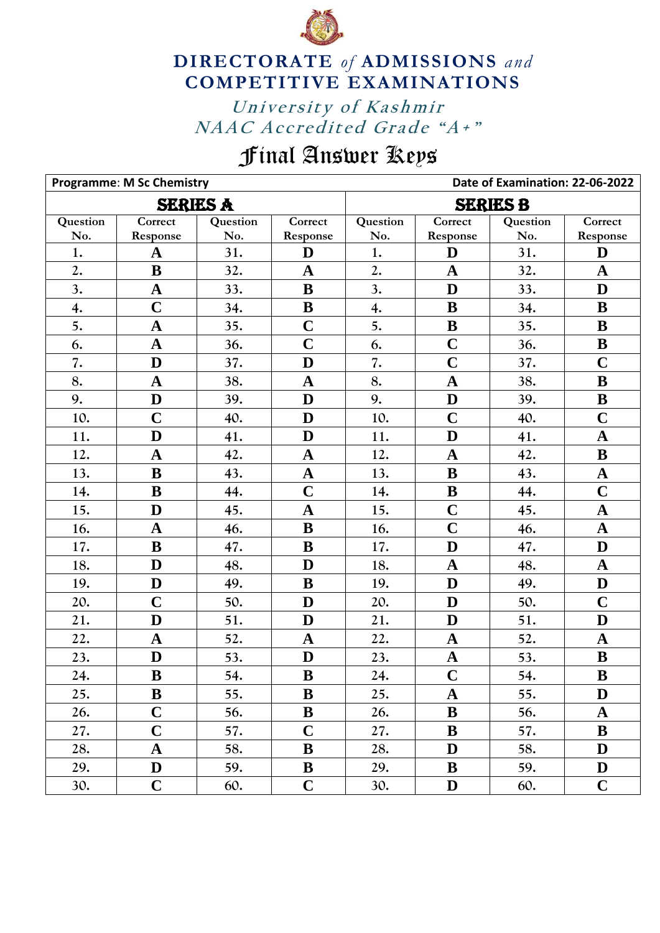

## **DIRECTORATE** *of* **ADMISSIONS** *and* **COMPETITIVE EXAMINATIONS**

University of Kashmir *NAAC Accredited Grade "A+"* University of Kashmir

## Final Answer Keys

|                 | <b>Programme: M Sc Chemistry</b> |          |                | Date of Examination: 22-06-2022 |             |          |                |  |
|-----------------|----------------------------------|----------|----------------|---------------------------------|-------------|----------|----------------|--|
| <b>SERIES A</b> |                                  |          |                | <b>SERIES B</b>                 |             |          |                |  |
| Question        | Correct                          | Question | Correct        | Question                        | Correct     | Question | Correct        |  |
| No.             | Response                         | No.      | Response       | No.                             | Response    | No.      | Response       |  |
| 1.              | $\mathbf A$                      | 31.      | D              | 1.                              | D           | 31.      | D              |  |
| 2.              | B                                | 32.      | $\mathbf A$    | 2.                              | $\mathbf A$ | 32.      | $\mathbf A$    |  |
| 3.              | $\mathbf A$                      | 33.      | $\bf{B}$       | 3.                              | D           | 33.      | D              |  |
| 4.              | $\mathbf C$                      | 34.      | ${\bf B}$      | 4.                              | B           | 34.      | B              |  |
| 5.              | $\mathbf A$                      | 35.      | $\overline{C}$ | 5.                              | $\bf{B}$    | 35.      | $\bf{B}$       |  |
| 6.              | $\mathbf A$                      | 36.      | $\mathbf C$    | 6.                              | $\mathbf C$ | 36.      | $\bf{B}$       |  |
| 7.              | D                                | 37.      | $\mathbf{D}$   | 7.                              | $\mathbf C$ | 37.      | $\mathbf C$    |  |
| 8.              | $\mathbf A$                      | 38.      | $\mathbf A$    | 8.                              | $\mathbf A$ | 38.      | $\bf{B}$       |  |
| 9.              | D                                | 39.      | $\mathbf{D}$   | 9.                              | D           | 39.      | ${\bf B}$      |  |
| 10.             | $\mathbf C$                      | 40.      | D              | 10.                             | $\mathbf C$ | 40.      | $\mathbf C$    |  |
| 11.             | D                                | 41.      | D              | 11.                             | D           | 41.      | $\mathbf A$    |  |
| 12.             | $\mathbf A$                      | 42.      | $\mathbf A$    | 12.                             | $\mathbf A$ | 42.      | B              |  |
| 13.             | $\bf{B}$                         | 43.      | $\mathbf{A}$   | 13.                             | B           | 43.      | $\mathbf A$    |  |
| 14.             | ${\bf B}$                        | 44.      | $\mathbf C$    | 14.                             | ${\bf B}$   | 44.      | $\mathbf C$    |  |
| 15.             | D                                | 45.      | $\mathbf A$    | 15.                             | $\mathbf C$ | 45.      | $\mathbf A$    |  |
| 16.             | $\mathbf A$                      | 46.      | B              | 16.                             | $\mathbf C$ | 46.      | $\mathbf A$    |  |
| 17.             | $\bf{B}$                         | 47.      | $\bf{B}$       | 17.                             | D           | 47.      | D              |  |
| 18.             | D                                | 48.      | $\mathbf{D}$   | 18.                             | $\mathbf A$ | 48.      | $\mathbf A$    |  |
| 19.             | D                                | 49.      | $\bf{B}$       | 19.                             | D           | 49.      | D              |  |
| 20.             | $\overline{C}$                   | 50.      | D              | 20.                             | D           | 50.      | $\overline{C}$ |  |
| 21.             | D                                | 51.      | D              | 21.                             | D           | 51.      | D              |  |
| 22.             | $\mathbf A$                      | 52.      | $\mathbf A$    | 22.                             | $\mathbf A$ | 52.      | $\mathbf A$    |  |
| 23.             | D                                | 53.      | $\mathbf{D}$   | 23.                             | $\mathbf A$ | 53.      | $\bf{B}$       |  |
| 24.             | B                                | 54.      | B              | 24.                             | $\mathbf C$ | 54.      | B              |  |
| 25.             | $\bf{B}$                         | 55.      | B              | 25.                             | $\mathbf A$ | 55.      | D              |  |
| 26.             | $\mathbf C$                      | 56.      | $\bf{B}$       | 26.                             | B           | 56.      | $\mathbf A$    |  |
| 27.             | $\mathbf C$                      | 57.      | $\mathbf C$    | 27.                             | B           | 57.      | B              |  |
| 28.             | ${\bf A}$                        | 58.      | B              | 28.                             | D           | 58.      | D              |  |
| 29.             | D                                | 59.      | ${\bf B}$      | 29.                             | B           | 59.      | D              |  |
| 30.             | $\mathbf C$                      | 60.      | $\mathbf C$    | 30.                             | D           | 60.      | $\mathbf C$    |  |